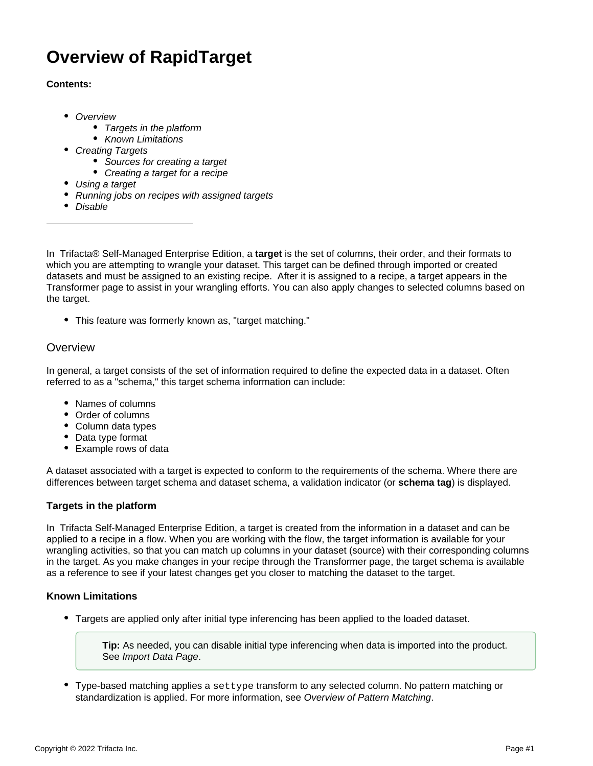# **Overview of RapidTarget**

## **Contents:**

- [Overview](#page-0-0)
	- [Targets in the platform](#page-0-1)
	- [Known Limitations](#page-0-2)
- [Creating Targets](#page-1-0)
	- [Sources for creating a target](#page-1-1)
	- [Creating a target for a recipe](#page-1-2)
- [Using a target](#page-1-3)
- [Running jobs on recipes with assigned targets](#page-2-0)
- [Disable](#page-2-1)

In Trifacta® Self-Managed Enterprise Edition, a **target** is the set of columns, their order, and their formats to which you are attempting to wrangle your dataset. This target can be defined through imported or created datasets and must be assigned to an existing recipe. After it is assigned to a recipe, a target appears in the Transformer page to assist in your wrangling efforts. You can also apply changes to selected columns based on the target.

This feature was formerly known as, "target matching."

# <span id="page-0-0"></span>**Overview**

In general, a target consists of the set of information required to define the expected data in a dataset. Often referred to as a "schema," this target schema information can include:

- Names of columns
- Order of columns
- Column data types
- Data type format
- Example rows of data

A dataset associated with a target is expected to conform to the requirements of the schema. Where there are differences between target schema and dataset schema, a validation indicator (or **schema tag**) is displayed.

## <span id="page-0-1"></span>**Targets in the platform**

In Trifacta Self-Managed Enterprise Edition, a target is created from the information in a dataset and can be applied to a recipe in a flow. When you are working with the flow, the target information is available for your wrangling activities, so that you can match up columns in your dataset (source) with their corresponding columns in the target. As you make changes in your recipe through the Transformer page, the target schema is available as a reference to see if your latest changes get you closer to matching the dataset to the target.

## <span id="page-0-2"></span>**Known Limitations**

Targets are applied only after initial type inferencing has been applied to the loaded dataset.

**Tip:** As needed, you can disable initial type inferencing when data is imported into the product. See [Import Data Page](https://docs.trifacta.com/display/r068/Import+Data+Page).

Type-based matching applies a settype transform to any selected column. No pattern matching or standardization is applied. For more information, see [Overview of Pattern Matching](https://docs.trifacta.com/display/r068/Overview+of+Pattern+Matching).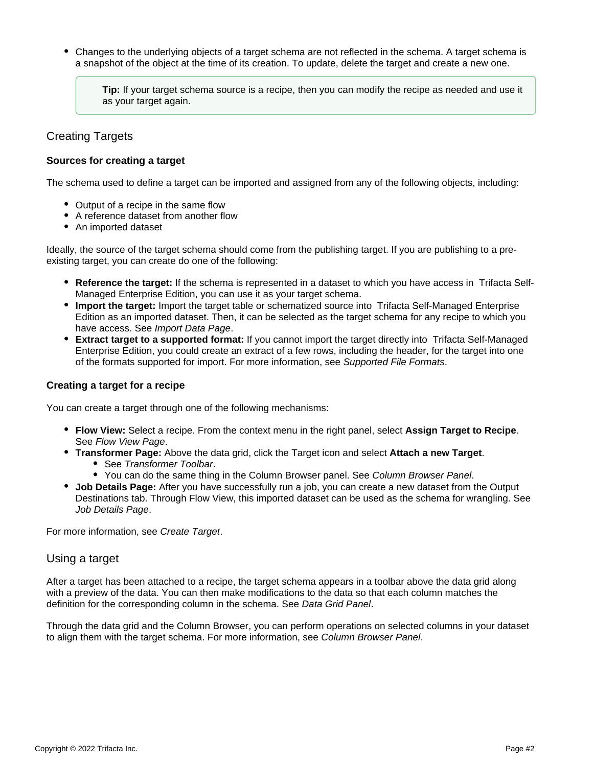Changes to the underlying objects of a target schema are not reflected in the schema. A target schema is a snapshot of the object at the time of its creation. To update, delete the target and create a new one.

**Tip:** If your target schema source is a recipe, then you can modify the recipe as needed and use it as your target again.

# <span id="page-1-0"></span>Creating Targets

#### <span id="page-1-1"></span>**Sources for creating a target**

The schema used to define a target can be imported and assigned from any of the following objects, including:

- Output of a recipe in the same flow
- A reference dataset from another flow
- An imported dataset

Ideally, the source of the target schema should come from the publishing target. If you are publishing to a preexisting target, you can create do one of the following:

- **Reference the target:** If the schema is represented in a dataset to which you have access in Trifacta Self-Managed Enterprise Edition, you can use it as your target schema.
- **Import the target:** Import the target table or schematized source into Trifacta Self-Managed Enterprise Edition as an imported dataset. Then, it can be selected as the target schema for any recipe to which you have access. See [Import Data Page](https://docs.trifacta.com/display/r068/Import+Data+Page).
- **Extract target to a supported format:** If you cannot import the target directly into Trifacta Self-Managed Enterprise Edition, you could create an extract of a few rows, including the header, for the target into one of the formats supported for import. For more information, see [Supported File Formats](https://docs.trifacta.com/display/r068/Supported+File+Formats).

#### <span id="page-1-2"></span>**Creating a target for a recipe**

You can create a target through one of the following mechanisms:

- **Flow View:** Select a recipe. From the context menu in the right panel, select **Assign Target to Recipe**. See [Flow View Page](https://docs.trifacta.com/display/r068/Flow+View+Page).
- **Transformer Page:** Above the data grid, click the Target icon and select **Attach a new Target**.
	- See [Transformer Toolbar](https://docs.trifacta.com/display/r068/Transformer+Toolbar).
	- You can do the same thing in the Column Browser panel. See [Column Browser Panel](https://docs.trifacta.com/display/r068/Column+Browser+Panel).
- **Job Details Page:** After you have successfully run a job, you can create a new dataset from the Output Destinations tab. Through Flow View, this imported dataset can be used as the schema for wrangling. See [Job Details Page](https://docs.trifacta.com/display/r068/Job+Details+Page).

For more information, see [Create Target](https://docs.trifacta.com/display/r068/Create+Target).

## <span id="page-1-3"></span>Using a target

After a target has been attached to a recipe, the target schema appears in a toolbar above the data grid along with a preview of the data. You can then make modifications to the data so that each column matches the definition for the corresponding column in the schema. See [Data Grid Panel](https://docs.trifacta.com/display/r068/Data+Grid+Panel).

Through the data grid and the Column Browser, you can perform operations on selected columns in your dataset to align them with the target schema. For more information, see [Column Browser Panel](https://docs.trifacta.com/display/r068/Column+Browser+Panel).